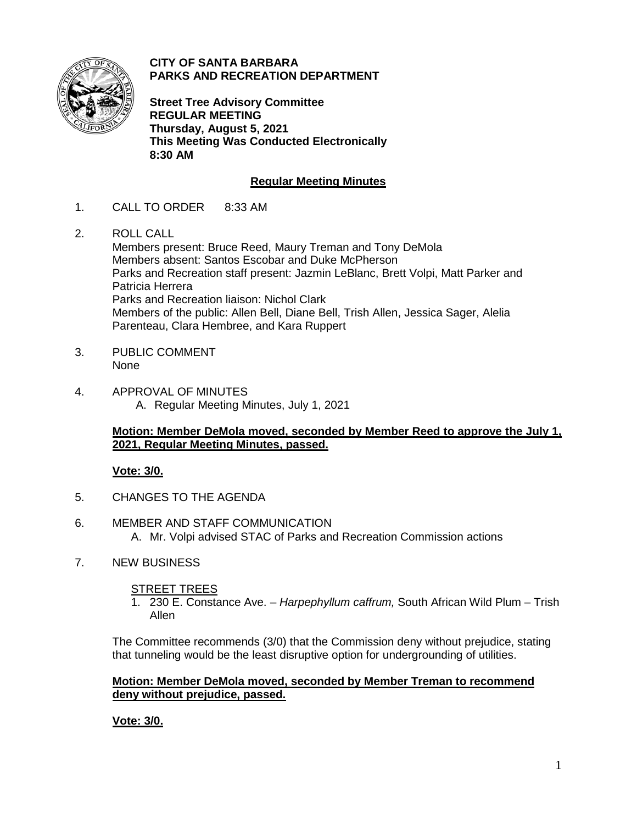

**CITY OF SANTA BARBARA PARKS AND RECREATION DEPARTMENT**

**Street Tree Advisory Committee REGULAR MEETING Thursday, August 5, 2021 This Meeting Was Conducted Electronically 8:30 AM**

# **Regular Meeting Minutes**

- 1. CALL TO ORDER 8:33 AM
- 2. ROLL CALL Members present: Bruce Reed, Maury Treman and Tony DeMola Members absent: Santos Escobar and Duke McPherson Parks and Recreation staff present: Jazmin LeBlanc, Brett Volpi, Matt Parker and Patricia Herrera Parks and Recreation liaison: Nichol Clark Members of the public: Allen Bell, Diane Bell, Trish Allen, Jessica Sager, Alelia Parenteau, Clara Hembree, and Kara Ruppert
- 3. PUBLIC COMMENT None
- 4. APPROVAL OF MINUTES A. Regular Meeting Minutes, July 1, 2021

### **Motion: Member DeMola moved, seconded by Member Reed to approve the July 1, 2021, Regular Meeting Minutes, passed.**

### **Vote: 3/0.**

- 5. CHANGES TO THE AGENDA
- 6. MEMBER AND STAFF COMMUNICATION A. Mr. Volpi advised STAC of Parks and Recreation Commission actions
- 7. NEW BUSINESS

### STREET TREES

1. 230 E. Constance Ave. – *Harpephyllum caffrum,* South African Wild Plum – Trish Allen

The Committee recommends (3/0) that the Commission deny without prejudice, stating that tunneling would be the least disruptive option for undergrounding of utilities.

#### **Motion: Member DeMola moved, seconded by Member Treman to recommend deny without prejudice, passed.**

**Vote: 3/0.**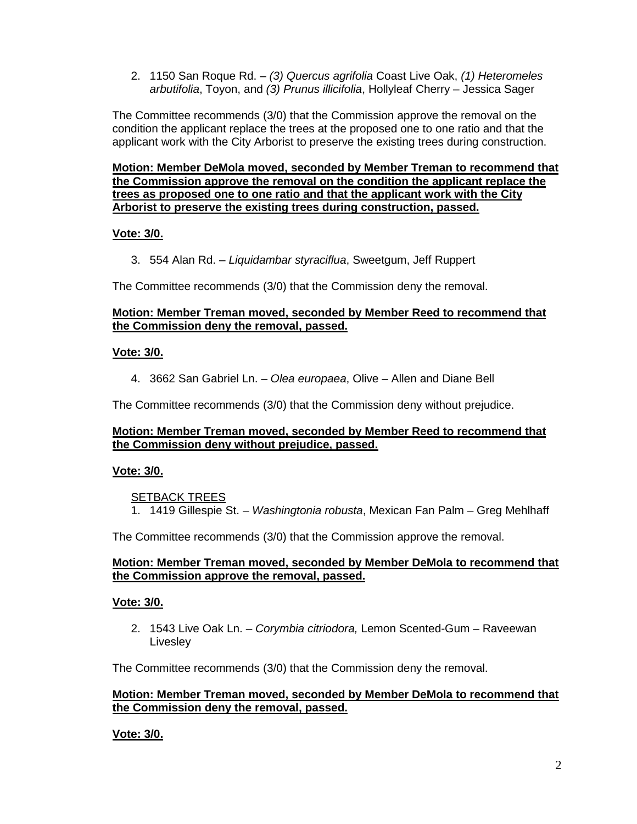2. 1150 San Roque Rd. – *(3) Quercus agrifolia* Coast Live Oak, *(1) Heteromeles arbutifolia*, Toyon, and *(3) Prunus illicifolia*, Hollyleaf Cherry – Jessica Sager

The Committee recommends (3/0) that the Commission approve the removal on the condition the applicant replace the trees at the proposed one to one ratio and that the applicant work with the City Arborist to preserve the existing trees during construction.

**Motion: Member DeMola moved, seconded by Member Treman to recommend that the Commission approve the removal on the condition the applicant replace the trees as proposed one to one ratio and that the applicant work with the City Arborist to preserve the existing trees during construction, passed.**

### **Vote: 3/0.**

3. 554 Alan Rd. – *Liquidambar styraciflua*, Sweetgum, Jeff Ruppert

The Committee recommends (3/0) that the Commission deny the removal.

### **Motion: Member Treman moved, seconded by Member Reed to recommend that the Commission deny the removal, passed.**

### **Vote: 3/0.**

4. 3662 San Gabriel Ln. – *Olea europaea*, Olive – Allen and Diane Bell

The Committee recommends (3/0) that the Commission deny without prejudice.

### **Motion: Member Treman moved, seconded by Member Reed to recommend that the Commission deny without prejudice, passed.**

# **Vote: 3/0.**

SETBACK TREES

1. 1419 Gillespie St. – *Washingtonia robusta*, Mexican Fan Palm – Greg Mehlhaff

The Committee recommends (3/0) that the Commission approve the removal.

### **Motion: Member Treman moved, seconded by Member DeMola to recommend that the Commission approve the removal, passed.**

### **Vote: 3/0.**

2. 1543 Live Oak Ln. – *Corymbia citriodora,* Lemon Scented-Gum – Raveewan **Livesley** 

The Committee recommends (3/0) that the Commission deny the removal.

### **Motion: Member Treman moved, seconded by Member DeMola to recommend that the Commission deny the removal, passed.**

**Vote: 3/0.**